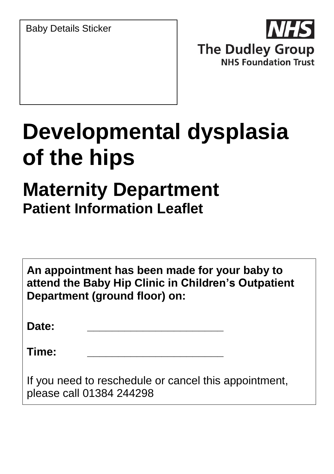Baby Details Sticker



# **Developmental dysplasia of the hips**

# **Maternity Department Patient Information Leaflet**

|       | An appointment has been made for your baby to<br>attend the Baby Hip Clinic in Children's Outpatient<br>Department (ground floor) on: |  |
|-------|---------------------------------------------------------------------------------------------------------------------------------------|--|
| Date: |                                                                                                                                       |  |
| Time: |                                                                                                                                       |  |
|       |                                                                                                                                       |  |

If you need to reschedule or cancel this appointment, please call 01384 244298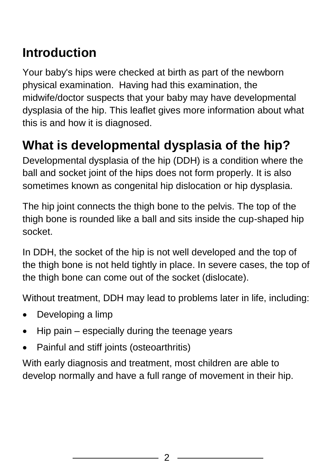## **Introduction**

Your baby's hips were checked at birth as part of the newborn physical examination. Having had this examination, the midwife/doctor suspects that your baby may have developmental dysplasia of the hip. This leaflet gives more information about what this is and how it is diagnosed.

## **What is developmental dysplasia of the hip?**

Developmental dysplasia of the hip (DDH) is a condition where the ball and socket joint of the hips does not form properly. It is also sometimes known as congenital hip dislocation or hip dysplasia.

The hip joint connects the thigh bone to the pelvis. The top of the thigh bone is rounded like a ball and sits inside the cup-shaped hip socket.

In DDH, the socket of the hip is not well developed and the top of the thigh bone is not held tightly in place. In severe cases, the top of the thigh bone can come out of the socket (dislocate).

Without treatment, DDH may lead to problems later in life, including:

- Developing a limp
- Hip pain especially during the teenage years
- Painful and stiff joints (osteoarthritis)

With early diagnosis and treatment, most children are able to develop normally and have a full range of movement in their hip.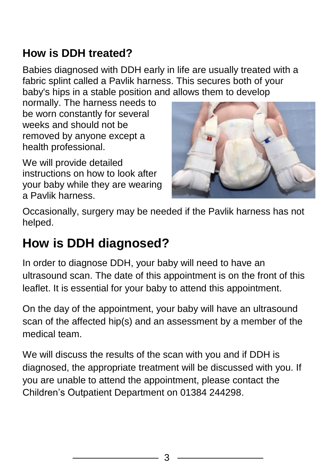## **How is DDH treated?**

Babies diagnosed with DDH early in life are usually treated with a fabric splint called a Pavlik harness. This secures both of your baby's hips in a stable position and allows them to develop

normally. The harness needs to be worn constantly for several weeks and should not be removed by anyone except a health professional.

We will provide detailed instructions on how to look after your baby while they are wearing a Pavlik harness.



Occasionally, surgery may be needed if the Pavlik harness has not helped.

## **How is DDH diagnosed?**

In order to diagnose DDH, your baby will need to have an ultrasound scan. The date of this appointment is on the front of this leaflet. It is essential for your baby to attend this appointment.

On the day of the appointment, your baby will have an ultrasound scan of the affected hip(s) and an assessment by a member of the medical team.

We will discuss the results of the scan with you and if DDH is diagnosed, the appropriate treatment will be discussed with you. If you are unable to attend the appointment, please contact the Children's Outpatient Department on 01384 244298.